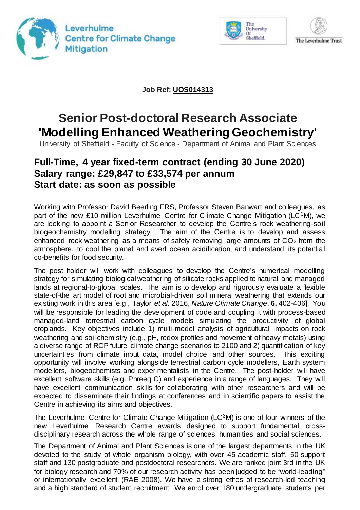



The Leverhulme Trust

**Job Ref: UOS014313**

## **Senior Post-doctoral Research Associate 'Modelling Enhanced Weathering Geochemistry'**

University of Sheffield - Faculty of Science - Department of Animal and Plant Sciences

## **Full-Time, 4 year fixed-term contract (ending 30 June 2020) Salary range: £29,847 to £33,574 per annum Start date: as soon as possible**

Working with Professor David Beerling FRS, Professor Steven Banwart and colleagues, as part of the new £10 million Leverhulme Centre for Climate Change Mitigation (LC<sup>3</sup>M), we are looking to appoint a Senior Researcher to develop the Centre's rock weathering-soil biogeochemistry modelling strategy. The aim of the Centre is to develop and assess enhanced rock weathering as a means of safely removing large amounts of CO<sup>2</sup> from the atmosphere, to cool the planet and avert ocean acidification, and understand its potential co-benefits for food security.

The post holder will work with colleagues to develop the Centre's numerical modelling strategy for simulating biological weathering of silicate rocks applied to natural and managed lands at regional-to-global scales. The aim is to develop and rigorously evaluate a flexible state-of-the art model of root and microbial-driven soil mineral weathering that extends our existing work in this area [e.g., Taylor *et al.* 2016, *Nature Climate Change*, **6,** 402-406]. You will be responsible for leading the development of code and coupling it with process-based managed-land terrestrial carbon cycle models simulating the productivity of global croplands. Key objectives include 1) multi-model analysis of agricultural impacts on rock weathering and soil chemistry (e.g., pH, redox profiles and movement of heavy metals) using a diverse range of RCP future climate change scenarios to 2100 and 2) quantification of key uncertainties from climate input data, model choice, and other sources. This exciting opportunity will involve working alongside terrestrial carbon cycle modellers, Earth system modellers, biogeochemists and experimentalists in the Centre. The post-holder will have excellent software skills (e.g. Phreeq C) and experience in a range of languages. They will have excellent communication skills for collaborating with other researchers and will be expected to disseminate their findings at conferences and in scientific papers to assist the Centre in achieving its aims and objectives.

The Leverhulme Centre for Climate Change Mitigation (LC<sup>3</sup>M) is one of four winners of the new Leverhulme Research Centre awards designed to support fundamental crossdisciplinary research across the whole range of sciences, humanities and social sciences.

The Department of Animal and Plant Sciences is one of the largest departments in the UK devoted to the study of whole organism biology, with over 45 academic staff, 50 support staff and 130 postgraduate and postdoctoral researchers. We are ranked joint 3rd in the UK for biology research and 70% of our research activity has been judged to be "world-leading" or internationally excellent (RAE 2008). We have a strong ethos of research-led teaching and a high standard of student recruitment. We enrol over 180 undergraduate students per